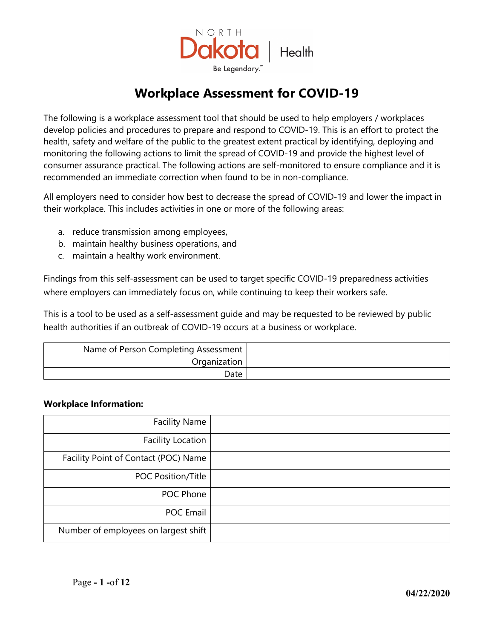

## **Workplace Assessment for COVID-19**

The following is a workplace assessment tool that should be used to help employers / workplaces develop policies and procedures to prepare and respond to COVID-19. This is an effort to protect the health, safety and welfare of the public to the greatest extent practical by identifying, deploying and monitoring the following actions to limit the spread of COVID-19 and provide the highest level of consumer assurance practical. The following actions are self-monitored to ensure compliance and it is recommended an immediate correction when found to be in non-compliance.

All employers need to consider how best to decrease the spread of COVID-19 and lower the impact in their workplace. This includes activities in one or more of the following areas:

- a. reduce transmission among employees,
- b. maintain healthy business operations, and
- c. maintain a healthy work environment.

Findings from this self-assessment can be used to target specific COVID-19 preparedness activities where employers can immediately focus on, while continuing to keep their workers safe.

This is a tool to be used as a self-assessment guide and may be requested to be reviewed by public health authorities if an outbreak of COVID-19 occurs at a business or workplace.

| Name of Person Completing Assessment |
|--------------------------------------|
| Organization                         |
| Date                                 |

## **Workplace Information:**

| <b>Facility Name</b>                 |  |
|--------------------------------------|--|
| <b>Facility Location</b>             |  |
| Facility Point of Contact (POC) Name |  |
| POC Position/Title                   |  |
| POC Phone                            |  |
| POC Email                            |  |
| Number of employees on largest shift |  |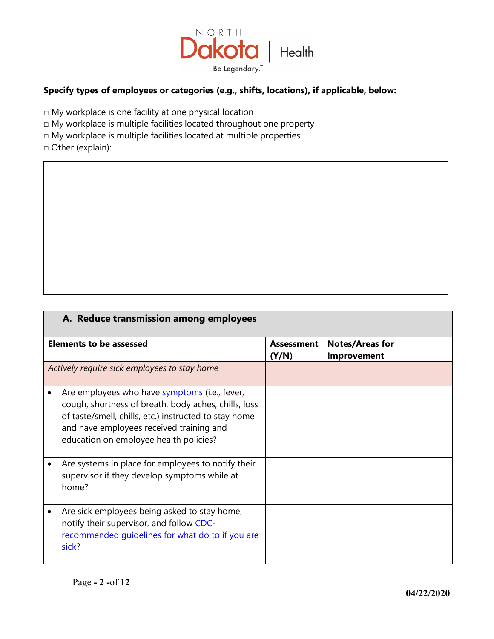

## **Specify types of employees or categories (e.g., shifts, locations), if applicable, below:**

□ My workplace is one facility at one physical location

 $\Box$  My workplace is multiple facilities located throughout one property

□ My workplace is multiple facilities located at multiple properties

□ Other (explain):

| A. Reduce transmission among employees                                                                                                                                                                                                               |                            |                                              |  |
|------------------------------------------------------------------------------------------------------------------------------------------------------------------------------------------------------------------------------------------------------|----------------------------|----------------------------------------------|--|
| <b>Elements to be assessed</b>                                                                                                                                                                                                                       | <b>Assessment</b><br>(Y/N) | <b>Notes/Areas for</b><br><b>Improvement</b> |  |
| Actively require sick employees to stay home                                                                                                                                                                                                         |                            |                                              |  |
| Are employees who have symptoms (i.e., fever,<br>cough, shortness of breath, body aches, chills, loss<br>of taste/smell, chills, etc.) instructed to stay home<br>and have employees received training and<br>education on employee health policies? |                            |                                              |  |
| Are systems in place for employees to notify their<br>supervisor if they develop symptoms while at<br>home?                                                                                                                                          |                            |                                              |  |
| Are sick employees being asked to stay home,<br>notify their supervisor, and follow CDC-<br>recommended quidelines for what do to if you are<br>sick?                                                                                                |                            |                                              |  |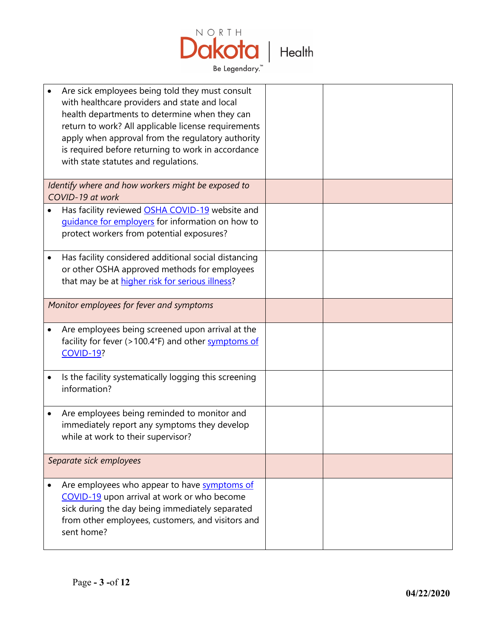

| Are sick employees being told they must consult<br>with healthcare providers and state and local<br>health departments to determine when they can<br>return to work? All applicable license requirements<br>apply when approval from the regulatory authority<br>is required before returning to work in accordance<br>with state statutes and regulations. |  |
|-------------------------------------------------------------------------------------------------------------------------------------------------------------------------------------------------------------------------------------------------------------------------------------------------------------------------------------------------------------|--|
| Identify where and how workers might be exposed to<br>COVID-19 at work                                                                                                                                                                                                                                                                                      |  |
| Has facility reviewed OSHA COVID-19 website and<br>guidance for employers for information on how to<br>protect workers from potential exposures?                                                                                                                                                                                                            |  |
| Has facility considered additional social distancing<br>or other OSHA approved methods for employees<br>that may be at higher risk for serious illness?                                                                                                                                                                                                     |  |
| Monitor employees for fever and symptoms                                                                                                                                                                                                                                                                                                                    |  |
| Are employees being screened upon arrival at the<br>facility for fever (>100.4°F) and other symptoms of<br><b>COVID-19?</b>                                                                                                                                                                                                                                 |  |
| Is the facility systematically logging this screening<br>information?                                                                                                                                                                                                                                                                                       |  |
| Are employees being reminded to monitor and<br>immediately report any symptoms they develop<br>while at work to their supervisor?                                                                                                                                                                                                                           |  |
| Separate sick employees                                                                                                                                                                                                                                                                                                                                     |  |
| Are employees who appear to have symptoms of<br>COVID-19 upon arrival at work or who become<br>sick during the day being immediately separated<br>from other employees, customers, and visitors and<br>sent home?                                                                                                                                           |  |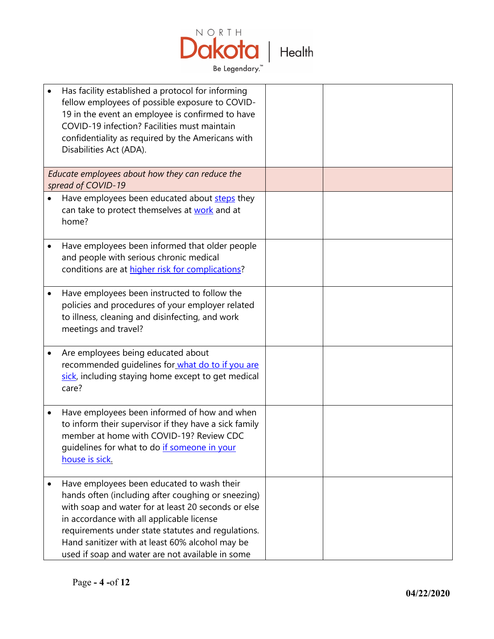

| Has facility established a protocol for informing<br>fellow employees of possible exposure to COVID-<br>19 in the event an employee is confirmed to have<br>COVID-19 infection? Facilities must maintain<br>confidentiality as required by the Americans with<br>Disabilities Act (ADA).                                                                          |  |
|-------------------------------------------------------------------------------------------------------------------------------------------------------------------------------------------------------------------------------------------------------------------------------------------------------------------------------------------------------------------|--|
| Educate employees about how they can reduce the<br>spread of COVID-19                                                                                                                                                                                                                                                                                             |  |
| Have employees been educated about steps they<br>can take to protect themselves at work and at<br>home?                                                                                                                                                                                                                                                           |  |
| Have employees been informed that older people<br>and people with serious chronic medical<br>conditions are at higher risk for complications?                                                                                                                                                                                                                     |  |
| Have employees been instructed to follow the<br>policies and procedures of your employer related<br>to illness, cleaning and disinfecting, and work<br>meetings and travel?                                                                                                                                                                                       |  |
| Are employees being educated about<br>recommended guidelines for what do to if you are<br>sick, including staying home except to get medical<br>care?                                                                                                                                                                                                             |  |
| Have employees been informed of how and when<br>to inform their supervisor if they have a sick family<br>member at home with COVID-19? Review CDC<br>guidelines for what to do if someone in your<br>house is sick.                                                                                                                                               |  |
| Have employees been educated to wash their<br>hands often (including after coughing or sneezing)<br>with soap and water for at least 20 seconds or else<br>in accordance with all applicable license<br>requirements under state statutes and regulations.<br>Hand sanitizer with at least 60% alcohol may be<br>used if soap and water are not available in some |  |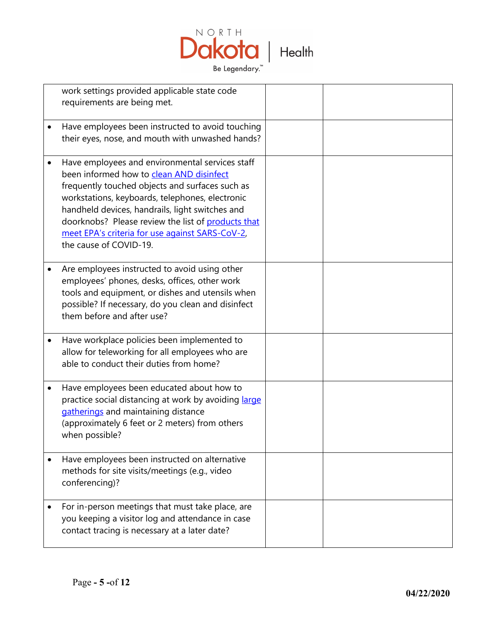

| work settings provided applicable state code<br>requirements are being met.                                                                                                                                                                                                                                                                                                             |  |
|-----------------------------------------------------------------------------------------------------------------------------------------------------------------------------------------------------------------------------------------------------------------------------------------------------------------------------------------------------------------------------------------|--|
| Have employees been instructed to avoid touching<br>their eyes, nose, and mouth with unwashed hands?                                                                                                                                                                                                                                                                                    |  |
| Have employees and environmental services staff<br>been informed how to clean AND disinfect<br>frequently touched objects and surfaces such as<br>workstations, keyboards, telephones, electronic<br>handheld devices, handrails, light switches and<br>doorknobs? Please review the list of products that<br>meet EPA's criteria for use against SARS-CoV-2,<br>the cause of COVID-19. |  |
| Are employees instructed to avoid using other<br>employees' phones, desks, offices, other work<br>tools and equipment, or dishes and utensils when<br>possible? If necessary, do you clean and disinfect<br>them before and after use?                                                                                                                                                  |  |
| Have workplace policies been implemented to<br>allow for teleworking for all employees who are<br>able to conduct their duties from home?                                                                                                                                                                                                                                               |  |
| Have employees been educated about how to<br>practice social distancing at work by avoiding large<br>gatherings and maintaining distance<br>(approximately 6 feet or 2 meters) from others<br>when possible?                                                                                                                                                                            |  |
| Have employees been instructed on alternative<br>methods for site visits/meetings (e.g., video<br>conferencing)?                                                                                                                                                                                                                                                                        |  |
| For in-person meetings that must take place, are<br>you keeping a visitor log and attendance in case<br>contact tracing is necessary at a later date?                                                                                                                                                                                                                                   |  |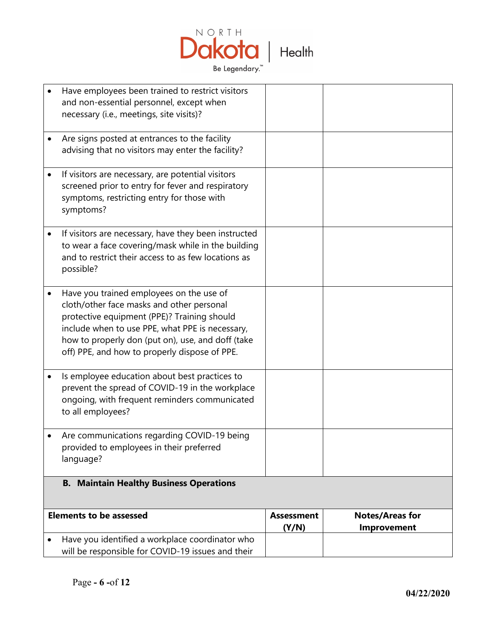

| Have employees been trained to restrict visitors<br>and non-essential personnel, except when<br>necessary (i.e., meetings, site visits)?                                                                                                                                                      |                            |                                       |
|-----------------------------------------------------------------------------------------------------------------------------------------------------------------------------------------------------------------------------------------------------------------------------------------------|----------------------------|---------------------------------------|
| Are signs posted at entrances to the facility<br>advising that no visitors may enter the facility?                                                                                                                                                                                            |                            |                                       |
| If visitors are necessary, are potential visitors<br>screened prior to entry for fever and respiratory<br>symptoms, restricting entry for those with<br>symptoms?                                                                                                                             |                            |                                       |
| If visitors are necessary, have they been instructed<br>to wear a face covering/mask while in the building<br>and to restrict their access to as few locations as<br>possible?                                                                                                                |                            |                                       |
| Have you trained employees on the use of<br>cloth/other face masks and other personal<br>protective equipment (PPE)? Training should<br>include when to use PPE, what PPE is necessary,<br>how to properly don (put on), use, and doff (take<br>off) PPE, and how to properly dispose of PPE. |                            |                                       |
| Is employee education about best practices to<br>prevent the spread of COVID-19 in the workplace<br>ongoing, with frequent reminders communicated<br>to all employees?                                                                                                                        |                            |                                       |
| Are communications regarding COVID-19 being<br>provided to employees in their preferred<br>language?                                                                                                                                                                                          |                            |                                       |
| <b>B. Maintain Healthy Business Operations</b>                                                                                                                                                                                                                                                |                            |                                       |
| <b>Elements to be assessed</b>                                                                                                                                                                                                                                                                | <b>Assessment</b><br>(Y/N) | <b>Notes/Areas for</b><br>Improvement |
| Have you identified a workplace coordinator who<br>will be responsible for COVID-19 issues and their                                                                                                                                                                                          |                            |                                       |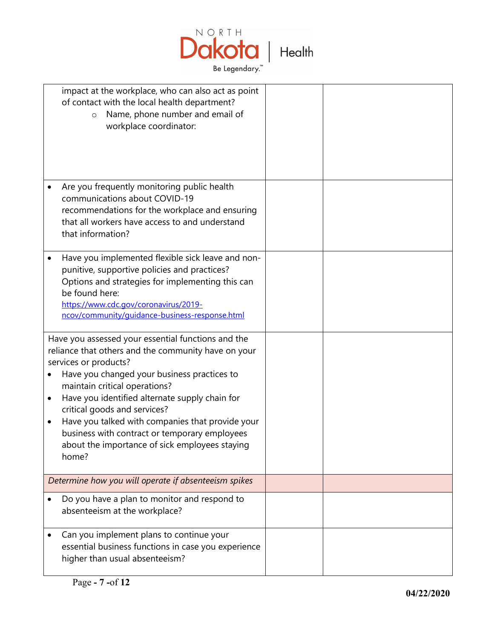

|        | impact at the workplace, who can also act as point<br>of contact with the local health department?<br>Name, phone number and email of<br>$\circ$<br>workplace coordinator:                                                                                                                                                                                                                                                                                           |  |
|--------|----------------------------------------------------------------------------------------------------------------------------------------------------------------------------------------------------------------------------------------------------------------------------------------------------------------------------------------------------------------------------------------------------------------------------------------------------------------------|--|
|        | Are you frequently monitoring public health<br>communications about COVID-19<br>recommendations for the workplace and ensuring<br>that all workers have access to and understand<br>that information?                                                                                                                                                                                                                                                                |  |
|        | Have you implemented flexible sick leave and non-<br>punitive, supportive policies and practices?<br>Options and strategies for implementing this can<br>be found here:<br>https://www.cdc.gov/coronavirus/2019-<br>ncov/community/guidance-business-response.html                                                                                                                                                                                                   |  |
| ٠<br>٠ | Have you assessed your essential functions and the<br>reliance that others and the community have on your<br>services or products?<br>Have you changed your business practices to<br>maintain critical operations?<br>Have you identified alternate supply chain for<br>critical goods and services?<br>Have you talked with companies that provide your<br>business with contract or temporary employees<br>about the importance of sick employees staying<br>home? |  |
|        | Determine how you will operate if absenteeism spikes                                                                                                                                                                                                                                                                                                                                                                                                                 |  |
|        | Do you have a plan to monitor and respond to<br>absenteeism at the workplace?                                                                                                                                                                                                                                                                                                                                                                                        |  |
|        | Can you implement plans to continue your<br>essential business functions in case you experience<br>higher than usual absenteeism?                                                                                                                                                                                                                                                                                                                                    |  |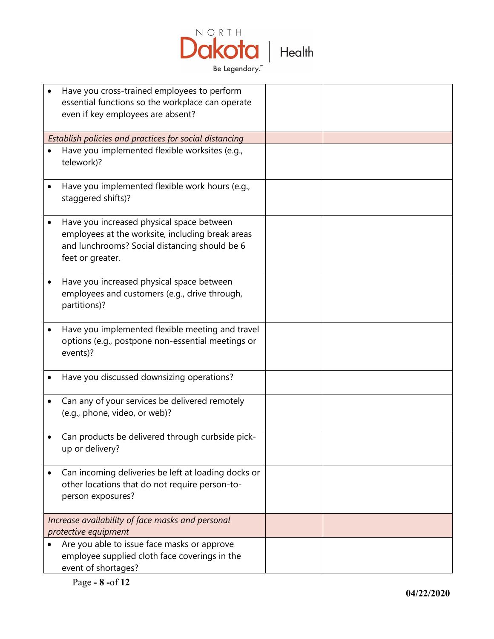

| Have you cross-trained employees to perform<br>essential functions so the workplace can operate<br>even if key employees are absent?                               |  |
|--------------------------------------------------------------------------------------------------------------------------------------------------------------------|--|
| Establish policies and practices for social distancing                                                                                                             |  |
| Have you implemented flexible worksites (e.g.,<br>telework)?                                                                                                       |  |
| Have you implemented flexible work hours (e.g.,<br>staggered shifts)?                                                                                              |  |
| Have you increased physical space between<br>employees at the worksite, including break areas<br>and lunchrooms? Social distancing should be 6<br>feet or greater. |  |
| Have you increased physical space between<br>employees and customers (e.g., drive through,<br>partitions)?                                                         |  |
| Have you implemented flexible meeting and travel<br>options (e.g., postpone non-essential meetings or<br>events)?                                                  |  |
| Have you discussed downsizing operations?                                                                                                                          |  |
| Can any of your services be delivered remotely<br>(e.g., phone, video, or web)?                                                                                    |  |
| Can products be delivered through curbside pick-<br>up or delivery?                                                                                                |  |
| Can incoming deliveries be left at loading docks or<br>other locations that do not require person-to-<br>person exposures?                                         |  |
| Increase availability of face masks and personal<br>protective equipment                                                                                           |  |
| Are you able to issue face masks or approve<br>employee supplied cloth face coverings in the<br>event of shortages?                                                |  |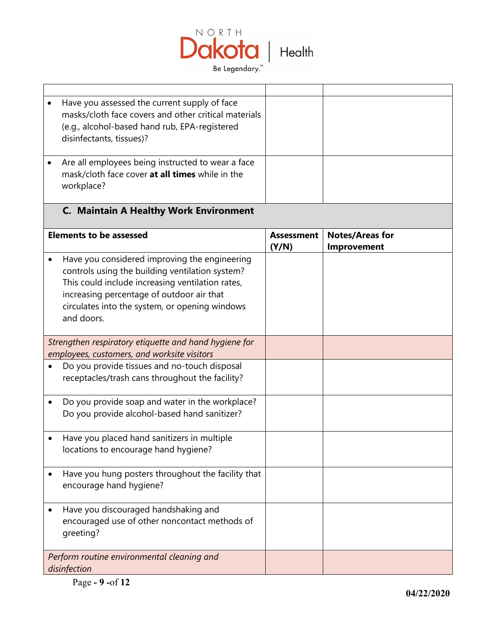

| Have you assessed the current supply of face<br>masks/cloth face covers and other critical materials<br>(e.g., alcohol-based hand rub, EPA-registered<br>disinfectants, tissues)?                                                                                 |                            |                                       |
|-------------------------------------------------------------------------------------------------------------------------------------------------------------------------------------------------------------------------------------------------------------------|----------------------------|---------------------------------------|
| Are all employees being instructed to wear a face<br>mask/cloth face cover at all times while in the<br>workplace?                                                                                                                                                |                            |                                       |
| <b>C. Maintain A Healthy Work Environment</b>                                                                                                                                                                                                                     |                            |                                       |
| <b>Elements to be assessed</b>                                                                                                                                                                                                                                    | <b>Assessment</b><br>(Y/N) | <b>Notes/Areas for</b><br>Improvement |
| Have you considered improving the engineering<br>controls using the building ventilation system?<br>This could include increasing ventilation rates,<br>increasing percentage of outdoor air that<br>circulates into the system, or opening windows<br>and doors. |                            |                                       |
| Strengthen respiratory etiquette and hand hygiene for<br>employees, customers, and worksite visitors                                                                                                                                                              |                            |                                       |
| Do you provide tissues and no-touch disposal<br>receptacles/trash cans throughout the facility?                                                                                                                                                                   |                            |                                       |
| Do you provide soap and water in the workplace?<br>Do you provide alcohol-based hand sanitizer?                                                                                                                                                                   |                            |                                       |
| Have you placed hand sanitizers in multiple<br>locations to encourage hand hygiene?                                                                                                                                                                               |                            |                                       |
| Have you hung posters throughout the facility that<br>encourage hand hygiene?                                                                                                                                                                                     |                            |                                       |
| Have you discouraged handshaking and<br>encouraged use of other noncontact methods of<br>greeting?                                                                                                                                                                |                            |                                       |
| Perform routine environmental cleaning and<br>disinfection                                                                                                                                                                                                        |                            |                                       |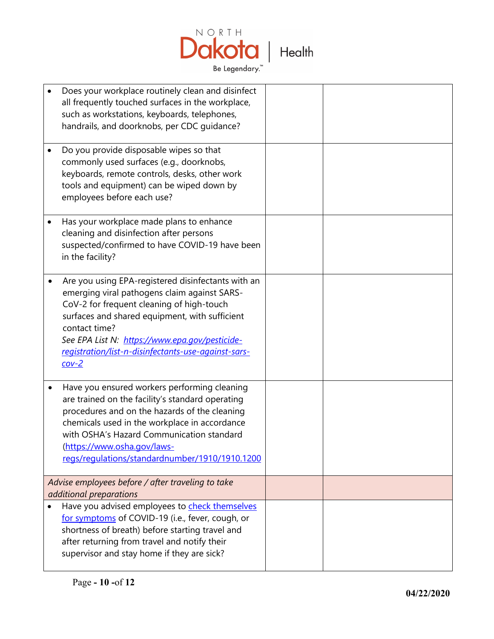

| Does your workplace routinely clean and disinfect<br>all frequently touched surfaces in the workplace,<br>such as workstations, keyboards, telephones,<br>handrails, and doorknobs, per CDC guidance?                                                                                                                                  |  |
|----------------------------------------------------------------------------------------------------------------------------------------------------------------------------------------------------------------------------------------------------------------------------------------------------------------------------------------|--|
| Do you provide disposable wipes so that<br>commonly used surfaces (e.g., doorknobs,<br>keyboards, remote controls, desks, other work<br>tools and equipment) can be wiped down by<br>employees before each use?                                                                                                                        |  |
| Has your workplace made plans to enhance<br>cleaning and disinfection after persons<br>suspected/confirmed to have COVID-19 have been<br>in the facility?                                                                                                                                                                              |  |
| Are you using EPA-registered disinfectants with an<br>emerging viral pathogens claim against SARS-<br>CoV-2 for frequent cleaning of high-touch<br>surfaces and shared equipment, with sufficient<br>contact time?<br>See EPA List N: https://www.epa.gov/pesticide-<br>registration/list-n-disinfectants-use-against-sars-<br>$cov-2$ |  |
| Have you ensured workers performing cleaning<br>are trained on the facility's standard operating<br>procedures and on the hazards of the cleaning<br>chemicals used in the workplace in accordance<br>with OSHA's Hazard Communication standard<br>(https://www.osha.gov/laws-<br>regs/regulations/standardnumber/1910/1910.1200       |  |
| Advise employees before / after traveling to take<br>additional preparations                                                                                                                                                                                                                                                           |  |
| Have you advised employees to check themselves<br>for symptoms of COVID-19 (i.e., fever, cough, or<br>shortness of breath) before starting travel and<br>after returning from travel and notify their<br>supervisor and stay home if they are sick?                                                                                    |  |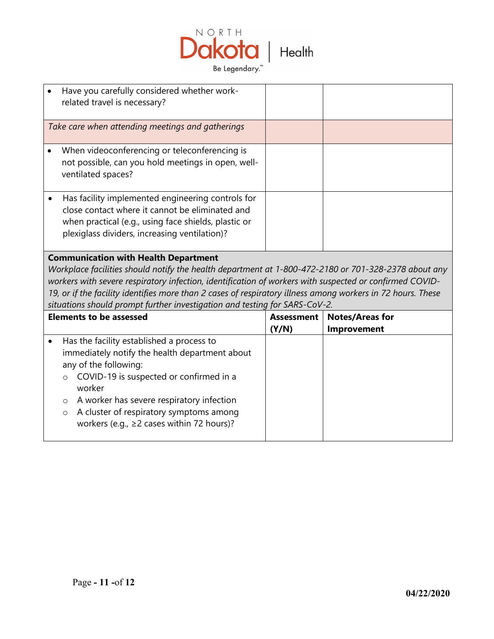

| Have you carefully considered whether work-<br>related travel is necessary?                                                                                                                                   |  |
|---------------------------------------------------------------------------------------------------------------------------------------------------------------------------------------------------------------|--|
| Take care when attending meetings and gatherings                                                                                                                                                              |  |
| When videoconferencing or teleconferencing is<br>not possible, can you hold meetings in open, well-<br>ventilated spaces?                                                                                     |  |
| Has facility implemented engineering controls for<br>close contact where it cannot be eliminated and<br>when practical (e.g., using face shields, plastic or<br>plexiglass dividers, increasing ventilation)? |  |

## **Communication with Health Department**

*Workplace facilities should notify the health department at 1-800-472-2180 or 701-328-2378 about any workers with severe respiratory infection, identification of workers with suspected or confirmed COVID-19, or if the facility identifies more than 2 cases of respiratory illness among workers in 72 hours. These situations should prompt further investigation and testing for SARS-CoV-2.* 

| <b>Elements to be assessed</b> |                                                |                                                                                            | <b>Assessment</b> | <b>Notes/Areas for</b> |
|--------------------------------|------------------------------------------------|--------------------------------------------------------------------------------------------|-------------------|------------------------|
|                                |                                                |                                                                                            | (Y/N)             | <b>Improvement</b>     |
|                                | Has the facility established a process to      |                                                                                            |                   |                        |
|                                | immediately notify the health department about |                                                                                            |                   |                        |
|                                | any of the following:                          |                                                                                            |                   |                        |
|                                | $\circ$                                        | COVID-19 is suspected or confirmed in a<br>worker                                          |                   |                        |
|                                | $\circ$                                        | A worker has severe respiratory infection                                                  |                   |                        |
|                                | $\circ$                                        | A cluster of respiratory symptoms among<br>workers (e.g., $\geq$ 2 cases within 72 hours)? |                   |                        |